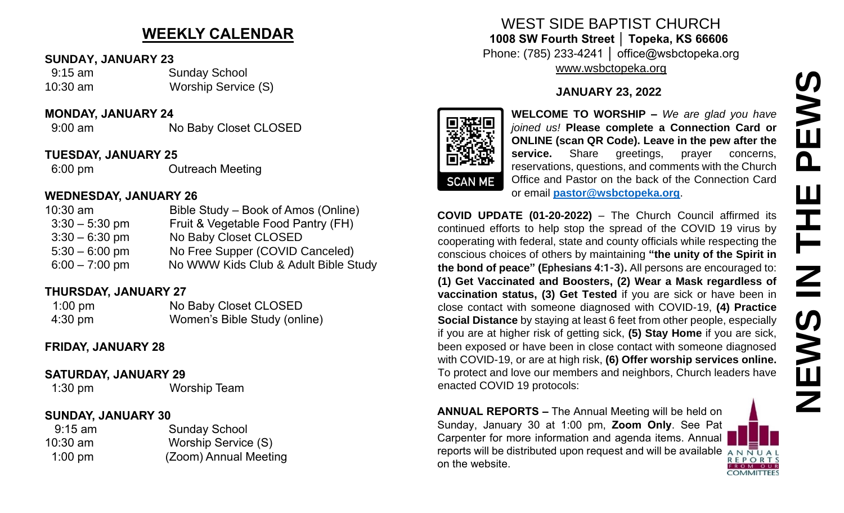# **WEEKLY CALENDAR**

#### **SUNDAY, JANUARY 23**

 9:15 am Sunday School 10:30 am Worship Service (S)

#### **MONDAY, JANUARY 24**

9:00 am No Baby Closet CLOSED

### **TUESDAY, JANUARY 25**

6:00 pm Outreach Meeting

## **WEDNESDAY, JANUARY 26**

| $10:30$ am       | Bible Study – Book of Amos (Online)  |
|------------------|--------------------------------------|
| $3:30 - 5:30$ pm | Fruit & Vegetable Food Pantry (FH)   |
| $3:30 - 6:30$ pm | No Baby Closet CLOSED                |
| $5:30 - 6:00$ pm | No Free Supper (COVID Canceled)      |
| $6:00 - 7:00$ pm | No WWW Kids Club & Adult Bible Study |

## **THURSDAY, JANUARY 27**

| $1:00$ pm         | No Baby Closet CLOSED        |
|-------------------|------------------------------|
| $4:30 \text{ pm}$ | Women's Bible Study (online) |

## **FRIDAY, JANUARY 28**

### **SATURDAY, JANUARY 29**

1:30 pm Worship Team

# **SUNDAY, JANUARY 30**

| $9:15$ am  | <b>Sunday School</b>  |
|------------|-----------------------|
| $10:30$ am | Worship Service (S)   |
| $1:00$ pm  | (Zoom) Annual Meeting |

# WEST SIDE BAPTIST CHURCH **1008 SW Fourth Street │ Topeka, KS 66606** Phone: (785) 233-4241 │ office@wsbctopeka.org [www.wsbctopeka.org](http://www.wsbctopeka.org/)

# **JANUARY 23, 2022**



**WELCOME TO WORSHIP –** *We are glad you have joined us!* **Please complete a Connection Card or ONLINE (scan QR Code). Leave in the pew after the service.** Share greetings, prayer concerns, reservations, questions, and comments with the Church Office and Pastor on the back of the Connection Card or email **[pastor@wsbctopeka.org](mailto:pastor@wsbctopeka.org)**.

**COVID UPDATE (01-20-2022)** – The Church Council affirmed its continued efforts to help stop the spread of the COVID 19 virus by cooperating with federal, state and county officials while respecting the conscious choices of others by maintaining **"the unity of the Spirit in the bond of peace" (Ephesians 4:1-3).** All persons are encouraged to: **(1) Get Vaccinated and Boosters, (2) Wear a Mask regardless of vaccination status, (3) Get Tested** if you are sick or have been in close contact with someone diagnosed with COVID-19, **(4) Practice Social Distance** by staying at least 6 feet from other people, especially if you are at higher risk of getting sick, **(5) Stay Home** if you are sick, been exposed or have been in close contact with someone diagnosed with COVID-19, or are at high risk, **(6) Offer worship services online.**  To protect and love our members and neighbors, Church leaders have enacted COVID 19 protocols: **SURFACE AND THE CONFRESS CONSIDERATION**<br> **SURFACE AND SURFACE CONFRESS CONSIDE A SURFACE CONFIDENCIAL CONFRESS CONFIDE (scan QR Code). Leave in the pew after the CONFRES CONFRES CONFRESS CONFRESS (and Passer or greelings** 

**ANNUAL REPORTS –** The Annual Meeting will be held on Sunday, January 30 at 1:00 pm, **Zoom Only**. See Pat Carpenter for more information and agenda items. Annual reports will be distributed upon request and will be available  $\overline{A} \overline{N} \overline{U} A I$